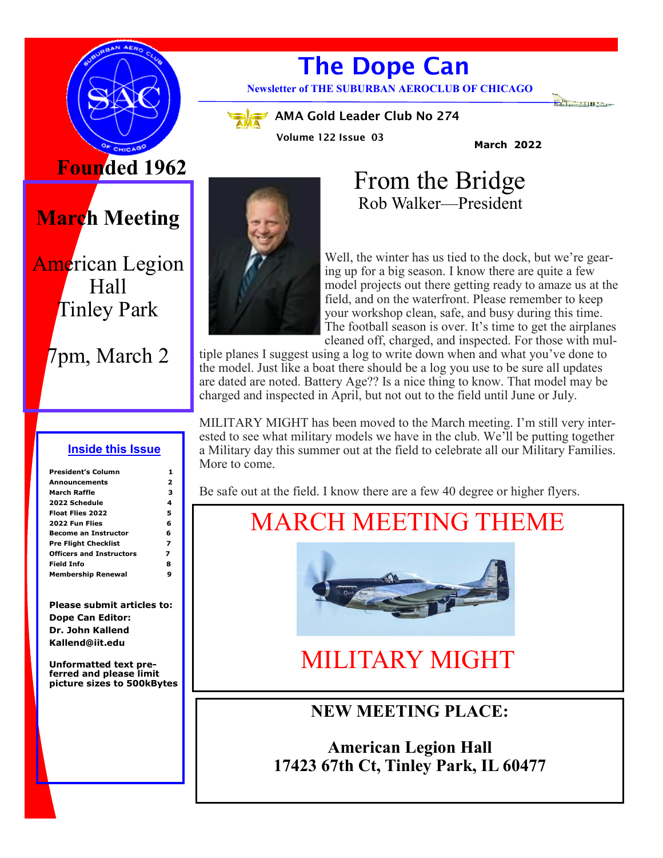

# **The Dope Can**

**Newsletter of THE SUBURBAN AEROCLUB OF CHICAGO**

**AMA Gold Leader Club No 274** 

**Volume 122 Issue 03**

**March 2022**

# **Founded 1962**

**March Meeting**

## American Legion Hall Tinley Park

# 7pm, March 2

#### **Inside this Issue**

| <b>President's Column</b>       |   |
|---------------------------------|---|
|                                 |   |
| <b>Announcements</b>            | 2 |
| March Raffle                    | з |
| 2022 Schedule                   | 4 |
| <b>Float Flies 2022</b>         | 5 |
| 2022 Fun Flies                  | 6 |
| <b>Become an Instructor</b>     | 6 |
| <b>Pre Flight Checklist</b>     | 7 |
| <b>Officers and Instructors</b> | 7 |
| Field Info                      | 8 |
| <b>Membership Renewal</b>       | 9 |

**Please submit articles to: Dope Can Editor: Dr. John Kallend Kallend@iit.edu**

**Unformatted text preferred and please limit picture sizes to 500kBytes**



 From the Bridge Rob Walker—President

Well, the winter has us tied to the dock, but we're gearing up for a big season. I know there are quite a few model projects out there getting ready to amaze us at the field, and on the waterfront. Please remember to keep your workshop clean, safe, and busy during this time. The football season is over. It's time to get the airplanes cleaned off, charged, and inspected. For those with mul-

tiple planes I suggest using a log to write down when and what you've done to the model. Just like a boat there should be a log you use to be sure all updates are dated are noted. Battery Age?? Is a nice thing to know. That model may be charged and inspected in April, but not out to the field until June or July.

MILITARY MIGHT has been moved to the March meeting. I'm still very interested to see what military models we have in the club. We'll be putting together a Military day this summer out at the field to celebrate all our Military Families. More to come.

Be safe out at the field. I know there are a few 40 degree or higher flyers.

# MARCH MEETING THEME



# MILITARY MIGHT

## **NEW MEETING PLACE:**

**American Legion Hall 17423 67th Ct, Tinley Park, IL 60477**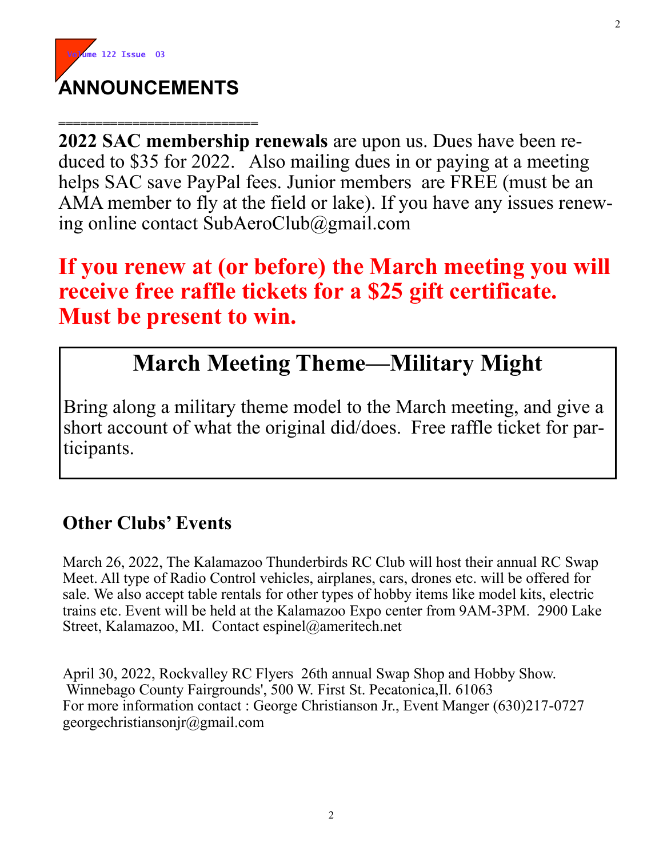

**=========================== 2022 SAC membership renewals** are upon us. Dues have been reduced to \$35 for 2022. Also mailing dues in or paying at a meeting helps SAC save PayPal fees. Junior members are FREE (must be an AMA member to fly at the field or lake). If you have any issues renewing online contact SubAeroClub@gmail.com

## **If you renew at (or before) the March meeting you will receive free raffle tickets for a \$25 gift certificate. Must be present to win.**

# **March Meeting Theme—Military Might**

Bring along a military theme model to the March meeting, and give a short account of what the original did/does. Free raffle ticket for participants.

## **Other Clubs' Events**

March 26, 2022, The Kalamazoo Thunderbirds RC Club will host their annual RC Swap Meet. All type of Radio Control vehicles, airplanes, cars, drones etc. will be offered for sale. We also accept table rentals for other types of hobby items like model kits, electric trains etc. Event will be held at the Kalamazoo Expo center from 9AM-3PM. 2900 Lake Street, Kalamazoo, MI. Contact espinel@ameritech.net

April 30, 2022, Rockvalley RC Flyers 26th annual Swap Shop and Hobby Show. Winnebago County Fairgrounds', 500 W. First St. Pecatonica,Il. 61063 For more information contact : George Christianson Jr., Event Manger (630)217-0727 georgechristiansonjr@gmail.com

2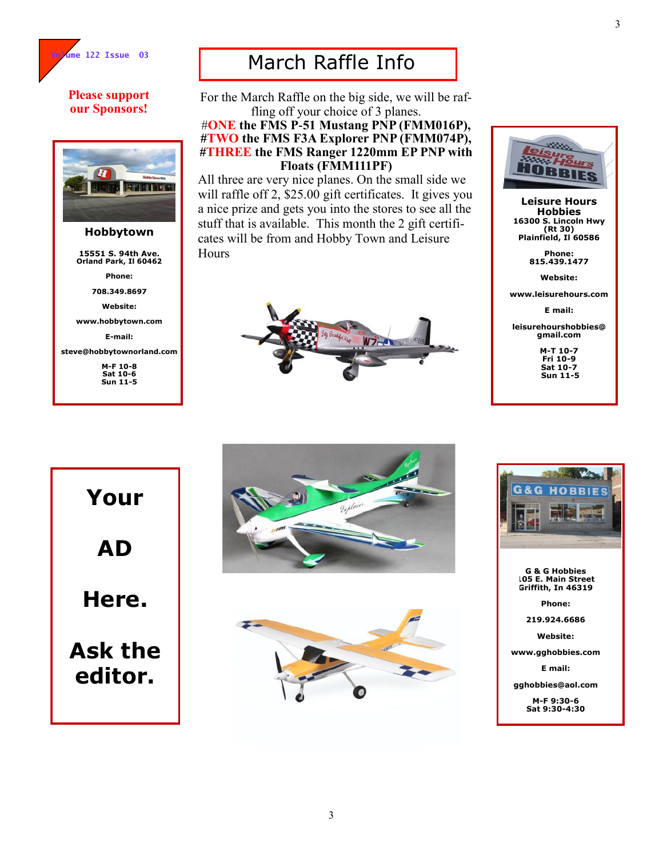

#### **Please support our Sponsors!**



#### **Hobbytown**

**15551 S. 94th Ave. Orland Park, Il 60462**

**Phone:**

**708.349.8697**

**Website:**

**www.hobbytown.com**

**E-mail:**

**steve@hobbytownorland.com**

**M-F 10-8 Sat 10-6 Sun 11-5**

## March Raffle Info

For the March Raffle on the big side, we will be raffling off your choice of 3 planes.

#### #**ONE the FMS P-51 Mustang PNP (FMM016P), #TWO the FMS F3A Explorer PNP (FMM074P), #THREE the FMS Ranger 1220mm EP PNP with Floats (FMM111PF)**

All three are very nice planes. On the small side we will raffle off 2, \$25.00 gift certificates. It gives you a nice prize and gets you into the stores to see all the stuff that is available. This month the 2 gift certificates will be from and Hobby Town and Leisure Hours





**Leisure Hours Hobbies 16300 S. Lincoln Hwy (Rt 30) Plainfield, Il 60586**

> **Phone: 815.439.1477**

> > **Website:**

**www.leisurehours.com**

**E mail:**

**leisurehourshobbies@ gmail.com**

> **M-T 10-7 Fri 10-9 Sat 10-7 Sun 11-5**

**Your AD Here. Ask the editor.**







**G & G Hobbies 105 E. Main Street Griffith, In 46319**

**Phone:**

**219.924.6686**

**Website:**

**www.gghobbies.com**

**E mail:**

**gghobbies@aol.com**

**M-F 9:30-6 Sat 9:30-4:30**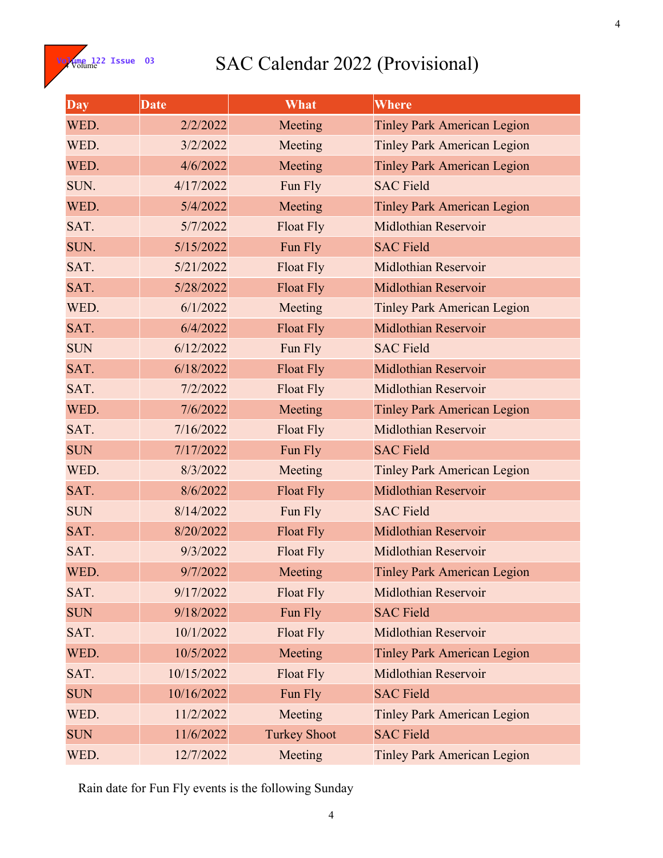**Volume 122 Issue 03** 

## SAC Calendar 2022 (Provisional)

| Day        | <b>Date</b> | What                | Where                              |  |
|------------|-------------|---------------------|------------------------------------|--|
| WED.       | 2/2/2022    | Meeting             | <b>Tinley Park American Legion</b> |  |
| WED.       | 3/2/2022    | Meeting             | <b>Tinley Park American Legion</b> |  |
| WED.       | 4/6/2022    | Meeting             | <b>Tinley Park American Legion</b> |  |
| SUN.       | 4/17/2022   | Fun Fly             | <b>SAC Field</b>                   |  |
| WED.       | 5/4/2022    | Meeting             | <b>Tinley Park American Legion</b> |  |
| SAT.       | 5/7/2022    | Float Fly           | <b>Midlothian Reservoir</b>        |  |
| SUN.       | 5/15/2022   | Fun Fly             | <b>SAC Field</b>                   |  |
| SAT.       | 5/21/2022   | <b>Float Fly</b>    | <b>Midlothian Reservoir</b>        |  |
| SAT.       | 5/28/2022   | <b>Float Fly</b>    | <b>Midlothian Reservoir</b>        |  |
| WED.       | 6/1/2022    | Meeting             | <b>Tinley Park American Legion</b> |  |
| SAT.       | 6/4/2022    | <b>Float Fly</b>    | <b>Midlothian Reservoir</b>        |  |
| <b>SUN</b> | 6/12/2022   | Fun Fly             | <b>SAC Field</b>                   |  |
| SAT.       | 6/18/2022   | <b>Float Fly</b>    | <b>Midlothian Reservoir</b>        |  |
| SAT.       | 7/2/2022    | Float Fly           | <b>Midlothian Reservoir</b>        |  |
| WED.       | 7/6/2022    | Meeting             | <b>Tinley Park American Legion</b> |  |
| SAT.       | 7/16/2022   | <b>Float Fly</b>    | <b>Midlothian Reservoir</b>        |  |
| <b>SUN</b> | 7/17/2022   | Fun Fly             | <b>SAC Field</b>                   |  |
| WED.       | 8/3/2022    | Meeting             | <b>Tinley Park American Legion</b> |  |
| SAT.       | 8/6/2022    | <b>Float Fly</b>    | <b>Midlothian Reservoir</b>        |  |
| <b>SUN</b> | 8/14/2022   | Fun Fly             | <b>SAC Field</b>                   |  |
| SAT.       | 8/20/2022   | <b>Float Fly</b>    | <b>Midlothian Reservoir</b>        |  |
| SAT.       | 9/3/2022    | Float Fly           | <b>Midlothian Reservoir</b>        |  |
| WED.       | 9/7/2022    | Meeting             | <b>Tinley Park American Legion</b> |  |
| SAT.       | 9/17/2022   | <b>Float Fly</b>    | <b>Midlothian Reservoir</b>        |  |
| <b>SUN</b> | 9/18/2022   | Fun Fly             | <b>SAC Field</b>                   |  |
| SAT.       | 10/1/2022   | Float Fly           | <b>Midlothian Reservoir</b>        |  |
| WED.       | 10/5/2022   | Meeting             | <b>Tinley Park American Legion</b> |  |
| SAT.       | 10/15/2022  | <b>Float Fly</b>    | <b>Midlothian Reservoir</b>        |  |
| <b>SUN</b> | 10/16/2022  | Fun Fly             | <b>SAC Field</b>                   |  |
| WED.       | 11/2/2022   | Meeting             | <b>Tinley Park American Legion</b> |  |
| <b>SUN</b> | 11/6/2022   | <b>Turkey Shoot</b> | <b>SAC Field</b>                   |  |
| WED.       | 12/7/2022   | Meeting             | <b>Tinley Park American Legion</b> |  |

Rain date for Fun Fly events is the following Sunday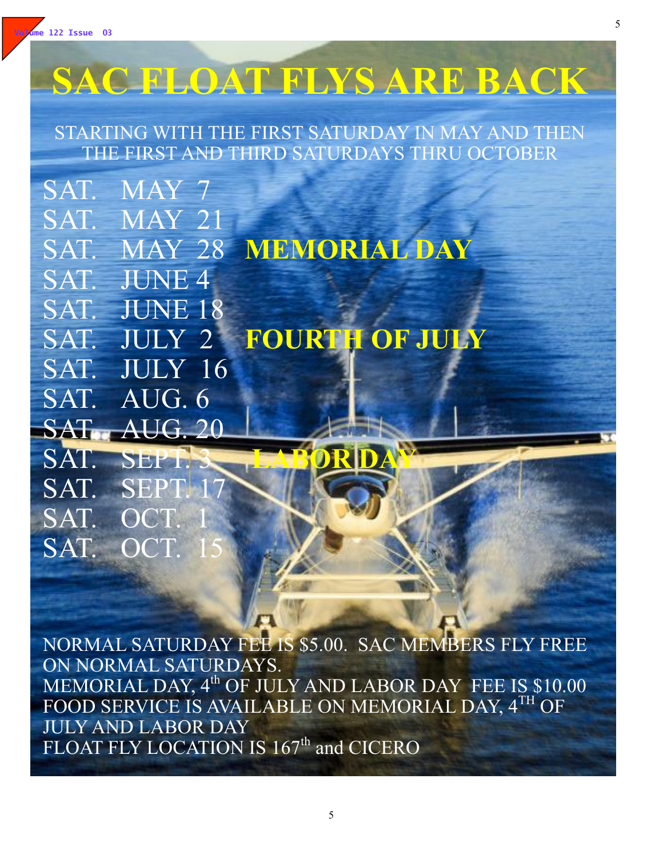

SAT. OC

SAT. OCT.

# **SAC FLOAT FLYS ARE BACK**

STARTING WITH THE FIRST SATURDAY IN MAY AND THEN THE FIRST AND THIRD SATURDAYS THRU OCTOBER

SAT. MAY 7 SAT. MAY 21 SAT. MAY 28 **MEMORIAL DAY** SAT. JUNE 4 SAT. JUNE 18 SAT. JULY 2 **FOURTH OF JULY** SAT. JULY 16 SAT. AUG. 6 **SAT.** AUG. 20 SAT. SEPT.3 **LABORDAY** SAT. SEPT.

NORMAL SATURDAY FEE IS \$5.00. SAC MEMBERS FLY FREE ON NORMAL SATURDAYS. MEMORIAL DAY, 4<sup>th</sup> OF JULY AND LABOR DAY FEE IS \$10.00 FOOD SERVICE IS AVAILABLE ON MEMORIAL DAY, 4TH OF JULY AND LABOR DAY FLOAT FLY LOCATION IS 167<sup>th</sup> and CICERO

5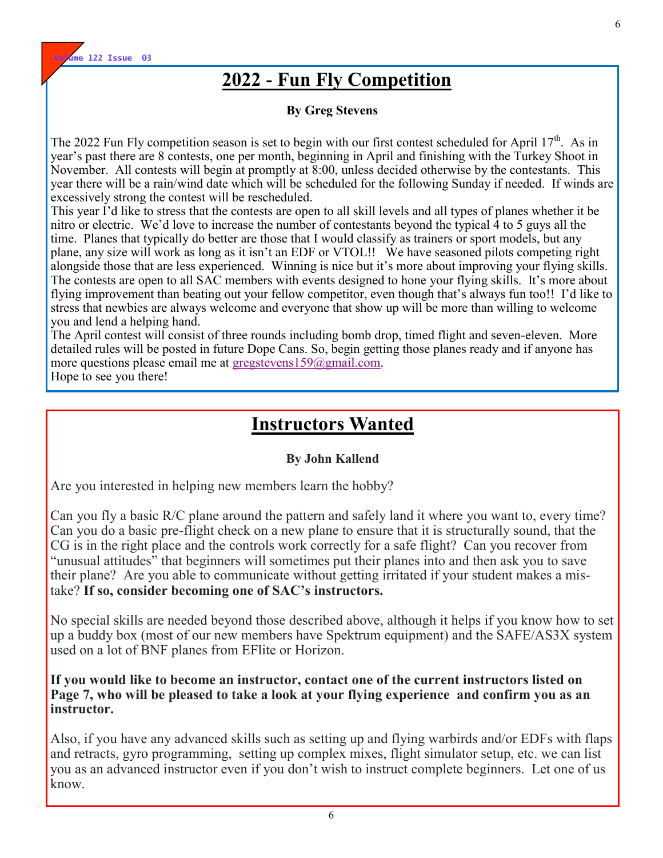

## **2022 - Fun Fly Competition**

#### **By Greg Stevens**

The 2022 Fun Fly competition season is set to begin with our first contest scheduled for April  $17<sup>th</sup>$ . As in year's past there are 8 contests, one per month, beginning in April and finishing with the Turkey Shoot in November. All contests will begin at promptly at 8:00, unless decided otherwise by the contestants. This year there will be a rain/wind date which will be scheduled for the following Sunday if needed. If winds are excessively strong the contest will be rescheduled.

This year I'd like to stress that the contests are open to all skill levels and all types of planes whether it be nitro or electric. We'd love to increase the number of contestants beyond the typical 4 to 5 guys all the time. Planes that typically do better are those that I would classify as trainers or sport models, but any plane, any size will work as long as it isn't an EDF or VTOL!! We have seasoned pilots competing right alongside those that are less experienced. Winning is nice but it's more about improving your flying skills. The contests are open to all SAC members with events designed to hone your flying skills. It's more about flying improvement than beating out your fellow competitor, even though that's always fun too!! I'd like to stress that newbies are always welcome and everyone that show up will be more than willing to welcome you and lend a helping hand.

The April contest will consist of three rounds including bomb drop, timed flight and seven-eleven. More detailed rules will be posted in future Dope Cans. So, begin getting those planes ready and if anyone has more questions please email me at [gregstevens159@gmail.com.](mailto:gregstevens159@gmail.com)

Hope to see you there!

## **Instructors Wanted**

#### **By John Kallend**

Are you interested in helping new members learn the hobby?

Can you fly a basic R/C plane around the pattern and safely land it where you want to, every time? Can you do a basic pre-flight check on a new plane to ensure that it is structurally sound, that the CG is in the right place and the controls work correctly for a safe flight? Can you recover from "unusual attitudes" that beginners will sometimes put their planes into and then ask you to save their plane? Are you able to communicate without getting irritated if your student makes a mistake? **If so, consider becoming one of SAC's instructors.**

No special skills are needed beyond those described above, although it helps if you know how to set up a buddy box (most of our new members have Spektrum equipment) and the SAFE/AS3X system used on a lot of BNF planes from EFlite or Horizon.

**If you would like to become an instructor, contact one of the current instructors listed on Page 7, who will be pleased to take a look at your flying experience and confirm you as an instructor.**

Also, if you have any advanced skills such as setting up and flying warbirds and/or EDFs with flaps and retracts, gyro programming, setting up complex mixes, flight simulator setup, etc. we can list you as an advanced instructor even if you don't wish to instruct complete beginners. Let one of us know.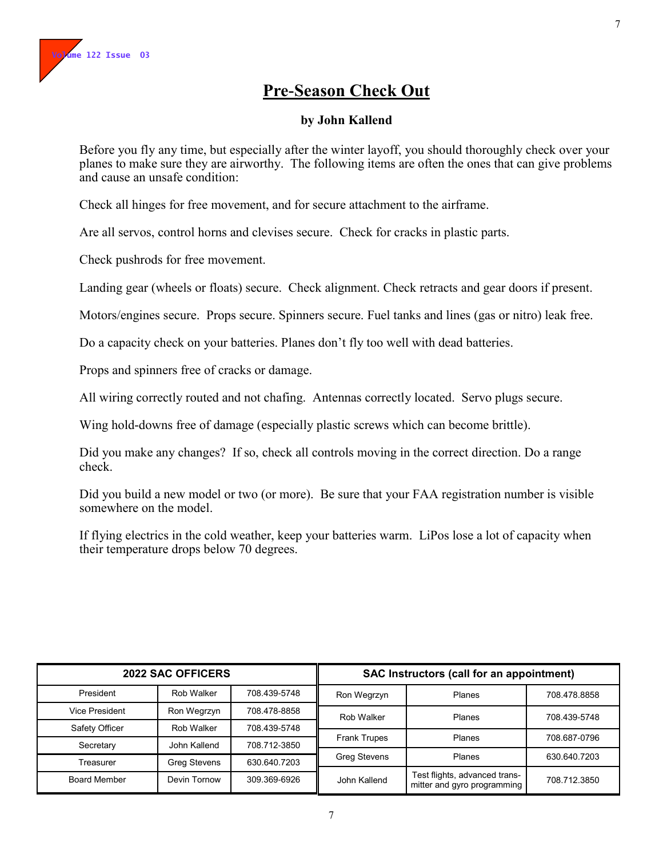#### **Pre-Season Check Out**

#### **by John Kallend**

Before you fly any time, but especially after the winter layoff, you should thoroughly check over your planes to make sure they are airworthy. The following items are often the ones that can give problems and cause an unsafe condition:

Check all hinges for free movement, and for secure attachment to the airframe.

Are all servos, control horns and clevises secure. Check for cracks in plastic parts.

Check pushrods for free movement.

Landing gear (wheels or floats) secure. Check alignment. Check retracts and gear doors if present.

Motors/engines secure. Props secure. Spinners secure. Fuel tanks and lines (gas or nitro) leak free.

Do a capacity check on your batteries. Planes don't fly too well with dead batteries.

Props and spinners free of cracks or damage.

All wiring correctly routed and not chafing. Antennas correctly located. Servo plugs secure.

Wing hold-downs free of damage (especially plastic screws which can become brittle).

Did you make any changes? If so, check all controls moving in the correct direction. Do a range check.

Did you build a new model or two (or more). Be sure that your FAA registration number is visible somewhere on the model.

If flying electrics in the cold weather, keep your batteries warm. LiPos lose a lot of capacity when their temperature drops below 70 degrees.

| <b>2022 SAC OFFICERS</b> |              | <b>SAC Instructors (call for an appointment)</b> |                     |                                                              |              |
|--------------------------|--------------|--------------------------------------------------|---------------------|--------------------------------------------------------------|--------------|
| President                | Rob Walker   | 708.439-5748                                     | Ron Wegrzyn         | Planes                                                       | 708.478.8858 |
| Vice President           | Ron Wegrzyn  | 708.478-8858                                     | Rob Walker          | <b>Planes</b>                                                | 708.439-5748 |
| Safety Officer           | Rob Walker   | 708.439-5748                                     |                     |                                                              |              |
| Secretary                | John Kallend | 708.712-3850                                     | <b>Frank Trupes</b> | <b>Planes</b>                                                | 708.687-0796 |
| Treasurer                | Greg Stevens | 630.640.7203                                     | <b>Greg Stevens</b> | <b>Planes</b>                                                | 630.640.7203 |
| <b>Board Member</b>      | Devin Tornow | 309.369-6926                                     | John Kallend        | Test flights, advanced trans-<br>mitter and gyro programming | 708.712.3850 |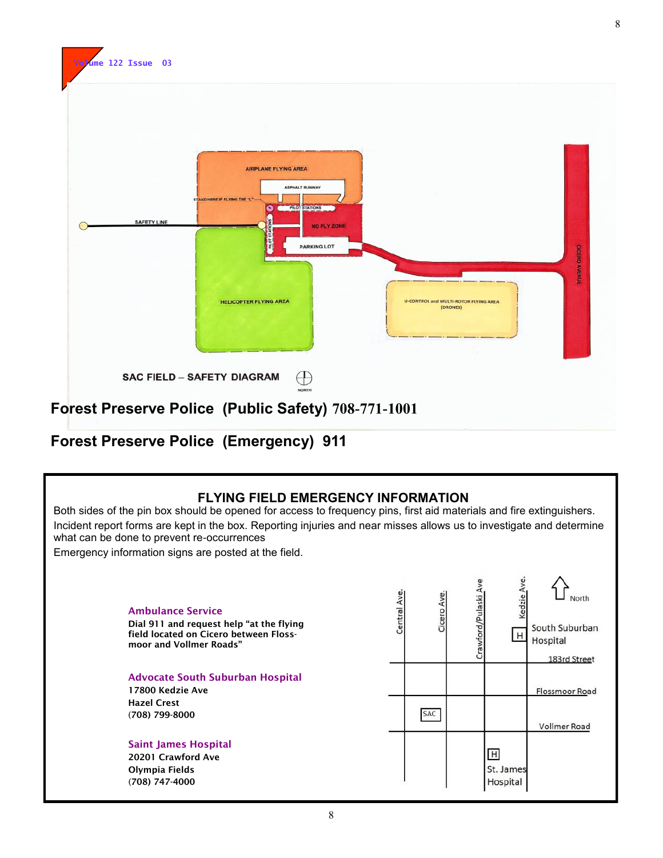

#### **Forest Preserve Police (Emergency) 911**